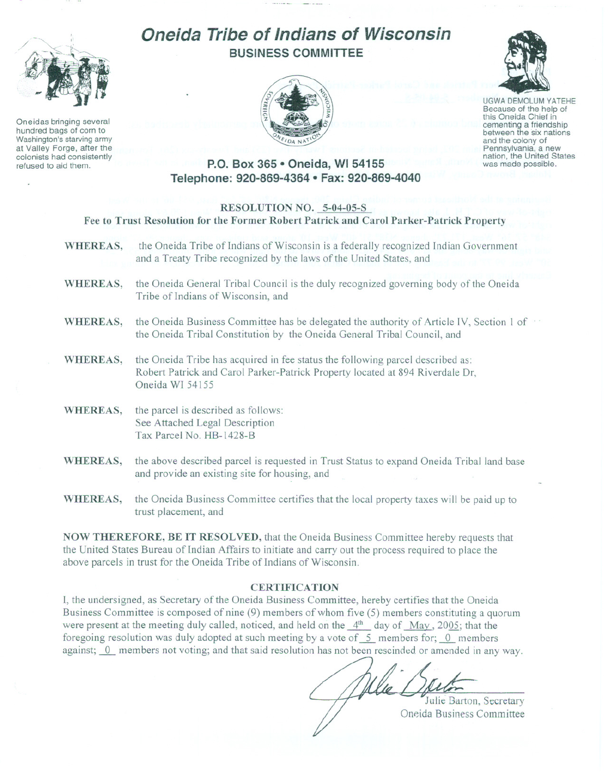

Oneidas bringing several hundred bags of corn to Washington's starving army at Valley Forge, after the colonists had consistently refused to aid them.

# **Oneida Tribe of Indians of Wisconsin BUSINESS COMMITTEE**





UGWA DEMOLUM YATEHE Because of the help of this Oneida Chief in<br>cementing a friendship between the six nations and the colony of<br>Pennsylvania, a new nation, the United States was made possible.

## **P.O. Box 365 • Oneida, WI 54155 Telephone: 920-869-4364 • Fax: 920-869-4040**

### **RESOLUTION NO. 5-04-05-S**

**Fee to Trust Resolution for the Former Robert Patrick and Carol Parker-Patrick Property**

- **WHEREAS,** the Oneida Tribe of Indians of Wisconsin is a federally recognized Indian Government and a Treaty Tribe recognized by the laws of the United States, and
- **WHEREAS,** the Oneida General Tribal Council is the duly recognized governing body of the Oneida Tribe of Indians of Wisconsin, and
- WHEREAS, the Oneida Business Committee has be delegated the authority of Article IV, Section 1 of the Oneida Tribal Constitution by the Oneida General Tribal Council, and
- **WHEREAS,** the Oneida Tribe has acquired in fee status the following parcel described as: Robert Patrick and Carol Parker-Patrick Property located at 894 Riverdale Dr, Oneida WI 54155
- **WHEREAS,** the parcel is described as follows: See Attached Legal Description Tax Parcel No. HB-1428-B
- **WHEREAS,** the above described parcel is requested in Trust Status to expand Oneida Tribal land base and provide an existing site for housing, and
- **WHEREAS,** the Oneida Business Committee certifies that the local property taxes will be paid up to trust placement, and

**NOW THEREFORE, BE IT RESOLVED,** that the Oneida Business Committee hereby requests that the United States Bureau of Indian Affairs to initiate and carry out the process required to place the above parcels in trust for the Oneida Tribe of Indians of Wisconsin.

#### **CERTIFICA TION**

**I,** the undersigned, as Secretary of the Oneida Business Committee, hereby certifies that the Oneida Business Committee is composed of nine (9) members of whom five (5) members constituting a quorum were present at the meeting duly called, noticed, and held on the  $4<sup>th</sup>$  day of May, 2005; that the foregoing resolution was duly adopted at such meeting by a vote of  $-5$  members for; 0 members against; 0 members not voting; and that said resolution has not been rescinded or amended in any way.

Julie Barton, Secretary Oneida Business Committee